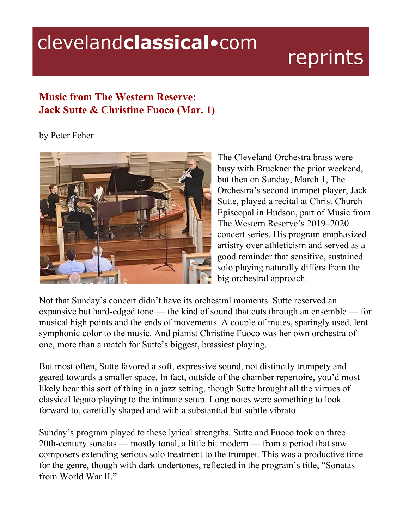## clevelandclassical.com

## reprints

## **Music from The Western Reserve: Jack Sutte & Christine Fuoco (Mar. 1)**

by Peter Feher



The Cleveland Orchestra brass were busy with Bruckner the prior weekend, but then on Sunday, March 1, The Orchestra's second trumpet player, Jack Sutte, played a recital at Christ Church Episcopal in Hudson, part of Music from The Western Reserve's 2019–2020 concert series. His program emphasized artistry over athleticism and served as a good reminder that sensitive, sustained solo playing naturally differs from the big orchestral approach.

Not that Sunday's concert didn't have its orchestral moments. Sutte reserved an expansive but hard-edged tone — the kind of sound that cuts through an ensemble — for musical high points and the ends of movements. A couple of mutes, sparingly used, lent symphonic color to the music. And pianist Christine Fuoco was her own orchestra of one, more than a match for Sutte's biggest, brassiest playing.

But most often, Sutte favored a soft, expressive sound, not distinctly trumpety and geared towards a smaller space. In fact, outside of the chamber repertoire, you'd most likely hear this sort of thing in a jazz setting, though Sutte brought all the virtues of classical legato playing to the intimate setup. Long notes were something to look forward to, carefully shaped and with a substantial but subtle vibrato.

Sunday's program played to these lyrical strengths. Sutte and Fuoco took on three 20th-century sonatas — mostly tonal, a little bit modern — from a period that saw composers extending serious solo treatment to the trumpet. This was a productive time for the genre, though with dark undertones, reflected in the program's title, "Sonatas from World War II."